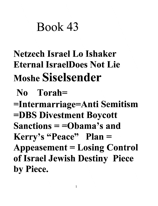# Book 43

## Netzech Israel Lo Ishaker Eternal IsraelDoes Not Lie Moshe Siselsender

### No Torah=

=Intermarriage=Anti Semitism =DBS Divestment Boycott Sanctions = =Obama's and Kerry's "Peace" Plan = Appeasement = Losing Control of Israel Jewish Destiny Piece by Piece.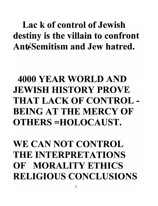### Lac k of control of Jewish destiny is the villain to confront Ant<sup>'</sup>Semitism and Jew hatred.

### 4000 YEAR WORLD AND JEWISH HISTORY PROVE THAT LACK OF CONTROL - BEING AT THE MERCY OF OTHERS =HOLOCAUST.

### WE CAN NOT CONTROL THE INTERPRETATIONS OF MORALITY ETHICS RELIGIOUS CONCLUSIONS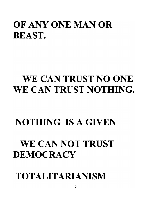### OF ANY ONE MAN OR BEAST.

### WE CAN TRUST NO ONE WE CAN TRUST NOTHING.

### NOTHING IS A GIVEN

### WE CAN NOT TRUST **DEMOCRACY**

### TOTALITARIANISM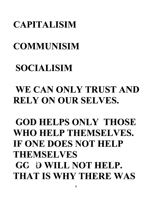#### CAPITALISIM

### COMMUNISIM

### SOCIALISIM

### WE CAN ONLY TRUST AND RELY ON OUR SELVES.

### GOD HELPS ONLY THOSE WHO HELP THEMSELVES. IF ONE DOES NOT HELP THEMSELVES GC D WILL NOT HELP. THAT IS WHY THERE WAS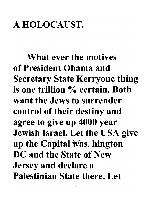### A HOLOCAUST.

What ever the motives of President Obama and Secretary State Kerryone thing is one trillion % certain. Both want the Jews to surrender control of their destiny and agree to give up 4000 year Jewish Israel. Let the USA give up the Capital  $\forall$ as. hington DC and the State of New Jersey and declare a Palestinian State there. Let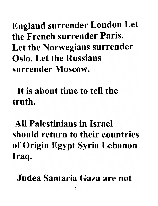England surrender London Let **the French surrender Paris.**  Let the Norwegians surrender **Oslo. Let the Russians surrender Moscow.** 

**It is about time to tell the truth.** 

**All Palestinians in Israel**  should return to their countries of Origin Egypt Syria Lebanon Iraq.

Judea Samaria Gaza are not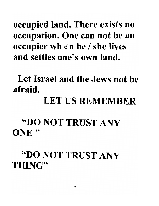occupied land. There exists no occupation. One can not be an occupier wh  $en$  he / she lives . and settles one's own land.

Let Israel and the Jews not be afraid.

#### LET US REMEMBER

#### "DO NOT TRUST ANY ONE<sup>"</sup>

#### "DO NOT TRUST ANY THING"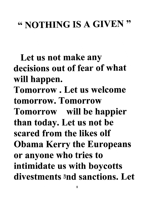### " NOTHING IS A GIVEN "

Let us not make any decisions out of fear of what will happen. Tomorrow. Let us welcome tomorrow. Tomorrow Tomorrow will be happier than today. Let us not be scared from the likes olf Obama Kerry the Europeans or anyone who tries to intimidate us with boycotts divestments and sanctions. Let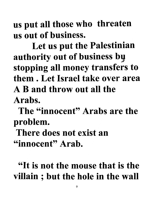us put all those who threaten us out of business.

Let us put the Palestinian authority out of business by stopping all money transfers to them. Let Israel take over area A B and throw out all the Arabs.

The "innocent" Arabs are the problem.

There does not exist an "innocent" Arab.

"It is not the mouse that is the villain ; but the hole in the wall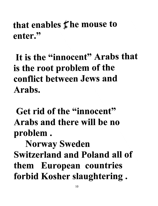that enables  $f$  he mouse to enter."

It is the "innocent" Arabs that is the root problem of the conflict between Jews and Arabs.

Get rid of the "innocent" Arabs and there will be no problem.

Norway Sweden Switzerland and Poland all of them European countries forbid Kosher slaughtering .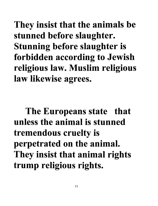They insist that the animals be stunned before slaughter. Stunning before slaughter is forbidden according to Jewish religious law. Muslim religious law likewise agrees.

The Europeans state that **unless the animal is stunned**  tremendous cruelty is perpetrated on the animal. They insist that animal rights trump religious rights.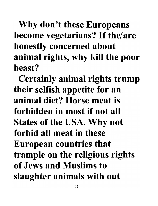Why don't these Europeans become vegetarians? If the are honestly concerned about animal rights, why kill the poor **beast?** 

Certainly animal rights trump their selfish appetite for an **animal diet? Horse meat is forbidden in most if not all**  States of the USA. Why not **forbid all meat in these**  European countries that trample on the religious rights **of** Jews **and Muslims to**  slaughter animals with out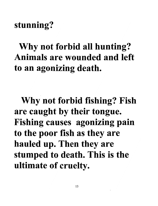#### stunning?

Why not forbid all hunting? **Animals are wounded and left**  to an agonizing death.

Why not forbid fishing? Fish are caught by their tongue. Fishing causes agonizing pain to the poor fish as they are hauled up. Then they are stumped to death. This is the ultimate of cruelty.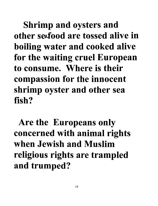Shrimp and oysters and **other sedood are tossed alive in**  boiling water and cooked alive for the waiting cruel European **to consume. Where is their**  compassion for the innocent shrimp oyster and other sea fish?

Are the Europeans only concerned with animal rights **when Jewish and Muslim**  religious rights are trampled and trumped?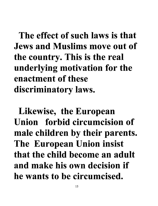The effect of such laws is that Jews and Muslims move out of the country. This is the real underlying motivation for the enactment of these discriminatory laws.

Likewise, the European Union forbid circumcision of male children by their parents. The European Union insist that the child become an adult and make his own decision if he wants to be circumcised.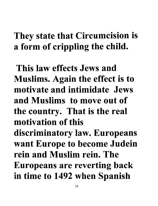### They state that Circumcision is a form of crippling the child.

This law effects Jews and Muslims. Again the effect is to motivate and intimidate Jews and Muslims to move out of the country. That is the real motivation of this discriminatory law. Europeans want Europe to become Judein rein and Muslim rein. The Europeans are reverting back in time to 1492 when Spanish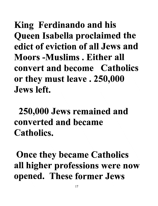King Ferdinando and his Queen Isabella proclaimed the **edict of eviction of all Jews and Moors -Muslims . Either all convert and become Catholics**  or they must leave. 250,000 **Jews left.** 

250,000 Jews remained and **converted and became Catholics.** 

Once they became Catholics all higher professions were now opened. These former Jews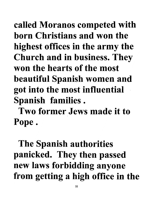called Moranos competed with born Christians and won the highest offices in the army the Church and in business. They won the hearts of the most beautiful Spanish women and got into the most influential . Spanish families.

Two former Jews made it to Pope.

The Spanish authorities panicked. They then passed new laws forbidding anyone from getting a high office in the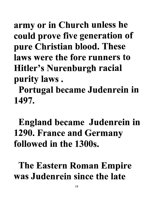army or in Church unless he could prove five generation of pure Christian blood. These laws were the fore runners to Hitler's Nurenburgh racial purity laws .

Portugal became Judenrein in 1497.

### England became Judenrein in 1290. France and Germany followed in the 1300s.

The Eastern Roman Empire was Judenrein since the late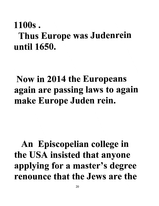### 1100s. Thus Europe was Judenrein until 1650.

### Now in 2014 the Europeans again are passing laws to again make Europe Juden rein.

### An Episcopelian college in the USA insisted that anyone applying for a master's degree renounce that the Jews are the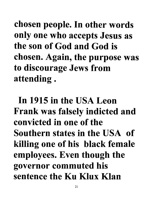chosen people. In other words only one who accepts Jesus as the son of God and God is chosen. Again, the purpose was to discourage Jews from attending.

In 1915 in the USA Leon Frank was falsely indicted and convicted in one of the Southern states in the USA of killing one of his black female employees. Even though the governor commuted his sentence the Ku Klux Klan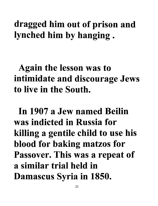### dragged him out of prison and lynched him by hanging.

### Again the lesson was to intimidate and discourage Jews to live in the South.

In 1907 a Jew named Beilin was indicted in Russia for killing a gentile child to use his blood for baking matzos for Passover. This was a repeat of a similar trial held in Damascus Syria in 1850.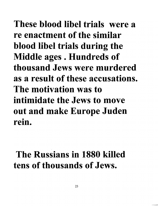These blood libel trials were a re enactment of the similar blood libel trials during the Middle ages. Hundreds of thousand Jews were murdered as a result of these accusations. The motivation was to intimidate the Jews to move out and make Europe Juden rein.

### The Russians in 1880 killed tens of thousands of Jews.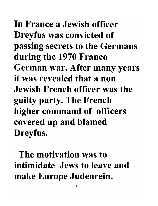In France a Jewish officer Dreyfus was convicted of passing secrets to the Germans during the 1970 Franco German war. After many years it was revealed that a non Jewish French officer was the guilty party. The French higher command of officers covered up and blamed Dreyfus.

The motivation was to intimidate Jews to leave and make Europe Judenrein.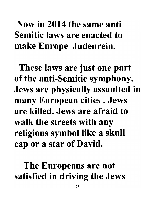### Now in 2014 the same anti Semitic laws are enacted to make Europe Judenrein.

These laws are just one part of the anti-Semitic symphony. Jews are physically assaulted in many European cities. Jews are killed. Jews are afraid to walk the streets with any religious symbol like a skull cap or a star of David.

The Europeans are not satisfied in driving the Jews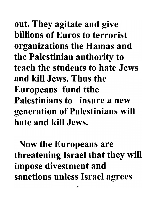out. They agitate and give billions of Euros to terrorist organizations the Hamas and the Palestinian authority to teach the students to hate Jews and kill Jews. Thus the Europeans fund tthe Palestinians to insure a new generation of Palestinians will hate and kill Jews.

Now the Europeans are threatening Israel that they will impose divestment and sanctions unless Israel agrees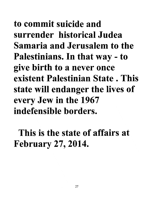to commit suicide and surrender historical Judea Samaria and Jerusalem to the Palestinians. In that way - to give birth to a never once existent Palestinian State . This state will endanger the lives of every Jew in the 1967 indefensible borders.

This is the state of affairs at February 27, 2014.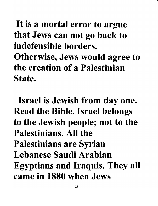### It is a mortal error to argue that Jews can not go back to indefensible borders. Otherwise, Jews would agree to the creation of a Palestinian State.

Israel is Jewish from day one. Read the Bible. Israel belongs to the Jewish people; not to the Palestinians. All the Palestinians are Syrian Lebanese Saudi Arabian Egyptians and Iraquis. They all came in 1880 when Jews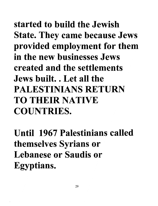started to build the Jewish State. They came because Jews provided employment for them in the new businesses Jews created and the settlements Jews built. . Let all the PALESTINIANS RETURN TO THEIR NATIVE COUNTRIES.

Until 1967 Palestinians called themselves Syrians or Lebanese or Saudis or Egyptians.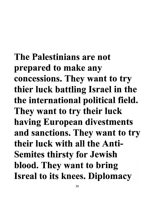The **Palestinians are not**  prepared to make any concessions. They want to try thier luck battling Israel in the the international political field. They want to try their luck having European divestments and sanctions. They want to try **their luck** with **all the Anti-**Semites thirsty for Jewish blood. They want to bring Isreal to its knees. Diplomacy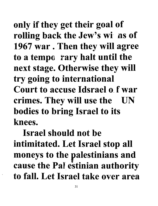only if they get their goal of rolling back the Jew's wi' as of 1967 war. Then they will agree to a tempo rary halt until the next stage. Otherwise they will try going to international **Court to accuse Idsrael 0\_ f war**  crimes. They will use the UN bodies to bring Israel to its **knees.** 

**Israel should not be**  intimitated. Let Israel stop all moneys to the palestinians and cause the Pal estinian authority **to fall. Let Israel take over area**